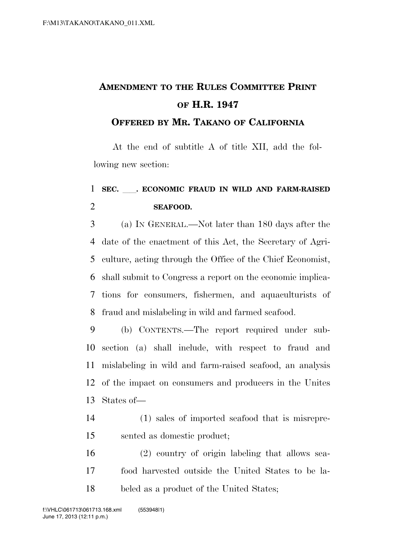## **AMENDMENT TO THE RULES COMMITTEE PRINT OF H.R. 1947**

## **OFFERED BY MR. TAKANO OF CALIFORNIA**

At the end of subtitle A of title XII, add the following new section:

## **SEC.** ll**. ECONOMIC FRAUD IN WILD AND FARM-RAISED SEAFOOD.**

 (a) IN GENERAL.—Not later than 180 days after the date of the enactment of this Act, the Secretary of Agri- culture, acting through the Office of the Chief Economist, shall submit to Congress a report on the economic implica- tions for consumers, fishermen, and aquaculturists of fraud and mislabeling in wild and farmed seafood.

 (b) CONTENTS.—The report required under sub- section (a) shall include, with respect to fraud and mislabeling in wild and farm-raised seafood, an analysis of the impact on consumers and producers in the Unites States of—

 (1) sales of imported seafood that is misrepre-sented as domestic product;

 (2) country of origin labeling that allows sea- food harvested outside the United States to be la-beled as a product of the United States;